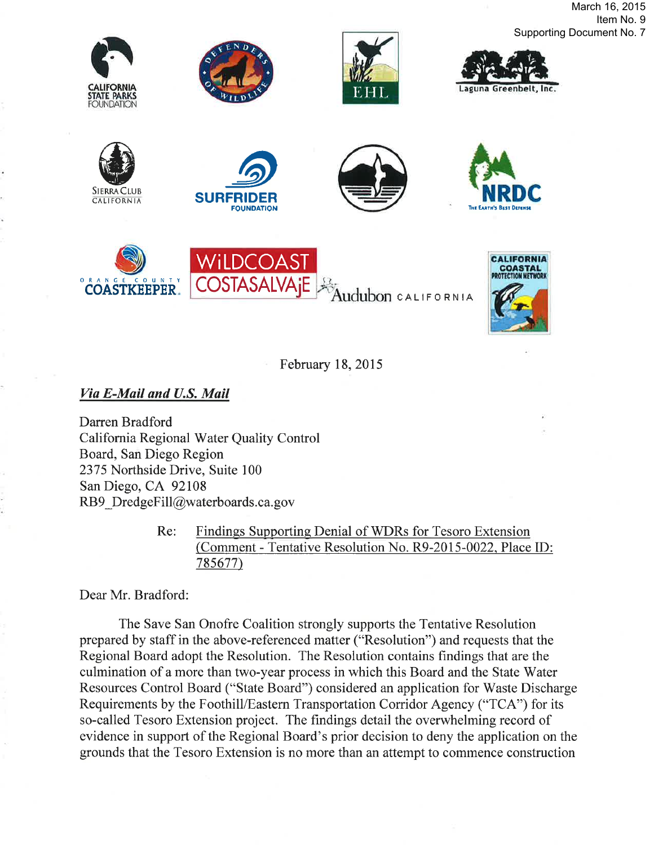March 16, 2015 Item No. 9 Supporting Document No. 7











O RA N G E C O U N T <sup>Y</sup> COASTKEEPER COSIASALVAJE Addubon CALIFORNIA COSIASALVA<sub>I</sub>E WiLDCOAS<sup>®</sup>



February 18,2015

Via E-Mail and U.S. Mail

Darren Bradford California Regional Water Quality Control Board, San Diego Region 2375 Northside Drive, Suite 100 San Diego, CA 92108 RB9 DredgeFill@waterboards.ca.gov

> Re: Findings Supporting Denial of WDRs for Tesoro Extension (Comment - Tentative Resolution No. R9-2015-0022. Place ID: 78s677)

Dear Mr. Bradford:

The Save San Onofre Coalition strongly supports the Tentative Resolution prepared by staff in the above-referenced matter ("Resolution") and requests that the Regional Board adopt the Resolution. The Resolution contains findings that are the culmination of a more than two-year process in which this Board and the State Water Resources Control Board ("State Board") considered an application for Waste Discharge Requirements by the Foothill/Eastern Transportation Corridor Agency ("TCA") for its so-called Tesoro Extension project. The findings detail the overwhelming record of evidence in support of the Regional Board's prior decision to deny the application on the grounds that the Tesoro Extension is no more than an attempt to commence construction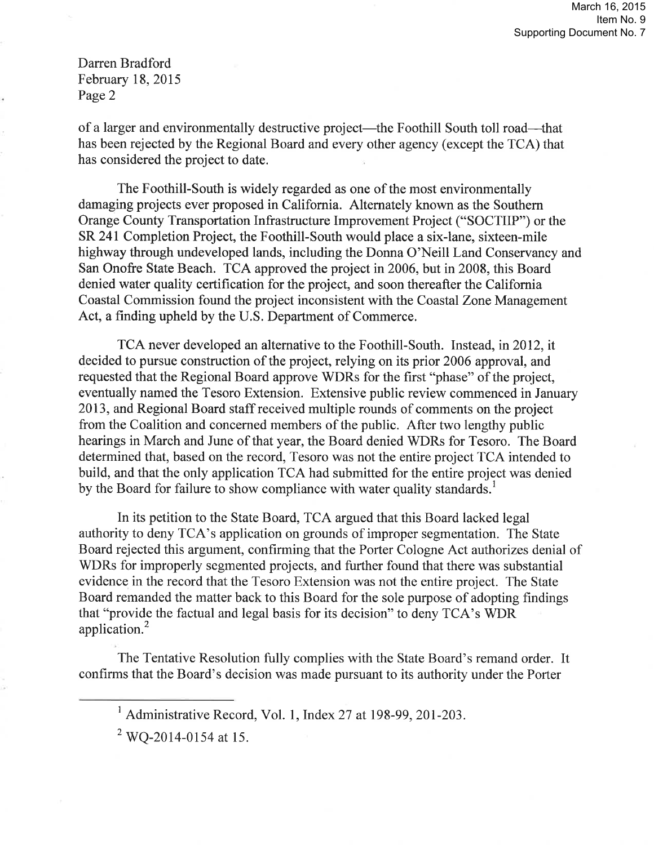of a larger and environmentally destructive project—the Foothill South toll road—that has been rejected by the Regional Board and every other agency (except the TCA) that has considered the project to date.

The Foothill-South is widely regarded as one of the most environmentally damaging projects ever proposed in California. Alternately known as the Southern Orange County Transportation Infrastructure Improvement Project ("SOCTIIP") or the SR 241 Completion Project, the Foothill-South would place a six-lane, sixteen-mile highway through undeveloped lands, including the Donna O'Neill Land Conservancy and San Onofre State Beach. TCA approved the project in 2006, but in 2008, this Board denied water quality certification for the project, and soon thereafter the California Coastal Commission found the project inconsistent with the Coastal Zone Management Act, a finding upheld by the U.S. Department of Commerce.

TCA never developed an alternative to the Foothill-South. Instead, in 2012, it decided to pursue construction of the project, relying on its prior 2006 approval, and requested that the Regional Board approve WDRs for the first "phase" of the project, eventually named the Tesoro Extension. Extensive public review commenced in January 2013, and Regional Board staff received multiple rounds of comments on the project from the Coalition and concerned members of the public. After two lengthy public hearings in March and June of that year, the Board denied WDRs for Tesoro. The Board determined that, based on the record, Tesoro was not the entire project TCA intended to build, and that the only application TCA had submitted for the entire project was denied by the Board for failure to show compliance with water quality standards.<sup>1</sup>

In its petition to the State Board, TCA argued that this Board lacked legal authority to deny TCA's application on grounds of improper segmentation. The State Board rejected this argument, confirming that the Porter Cologne Act authorizes denial of WDRs for improperly segmented projects, and further found that there was substantial evidence in the record that the Tesoro Extension was not the entire project. The State Board remanded the matter back to this Board for the sole purpose of adopting findings that "provide the factual and legal basis for its decision" to deny TCA's WDR application.2

The Tentative Resolution fully complies with the State Board's remand order. It confirms that the Board's decision was made pursuant to its authority under the Porter

 $2$  WO-2014-0154 at 15.

 $<sup>1</sup>$  Administrative Record, Vol. 1, Index 27 at 198-99, 201-203.</sup>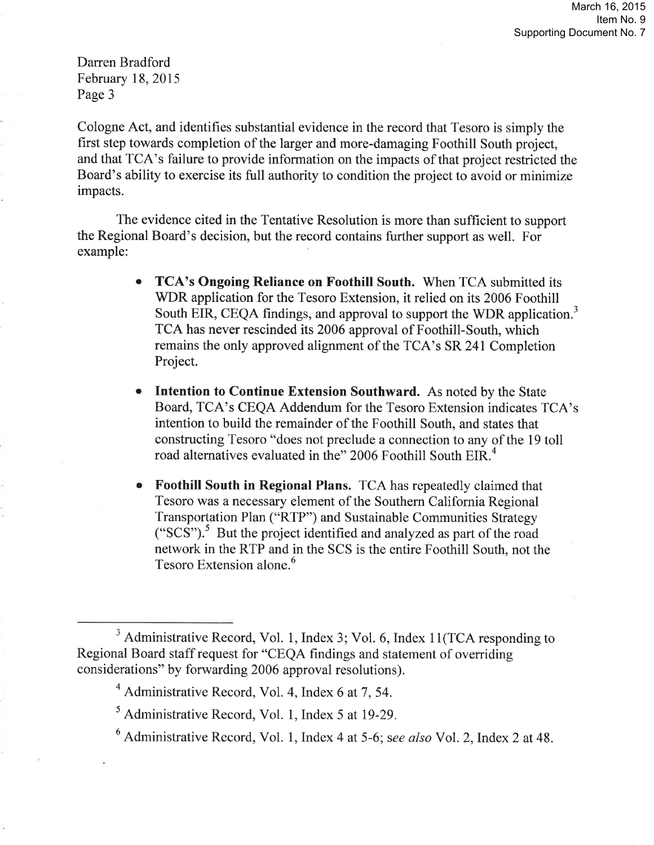Cologne Act, and identifies substantial evidence in the record that Tesoro is simply the first step towards completion of the larger and more-damaging Foothill South project, and that TCA's failure to provide information on the impacts of that project restricted the Board's ability to exercise its full authority to condition the project to avoid or minimize impacts.

The evidence cited in the Tentative Resolution is more than sufficient to support the Regional Board's decision, but the record contains further support as well. For example:

- TCA's Ongoing Reliance on Foothill South. When TCA submitted its WDR application for the Tesoro Extension, it relied on its 2006 Foothill South EIR, CEQA findings, and approval to support the WDR application.<sup>3</sup> TCA has never rescinded its 2006 approval of Foothill-South, which remains the only approved alignment of the TCA's SR 241 Completion Project.  $\bullet$
- Intention to Continue Extension Southward. As noted by the State Board, TCA's CEQA Addendum for the Tesoro Extension indicates TCA's intention to build the remainder of the Foothill South, and states that constructing Tesoro "does not preclude a connection to any of the 19 toll road alternatives evaluated in the" 2006 Foothill South EIR.<sup>4</sup>
- Foothill South in Regional Plans. TCA has repeatedly claimed that Tesoro was a necessary element of the Southern California Regional Transportation Plan ("RTP") and Sustainable Communities Strategy ("SCS").5 But the project identified and analyzed as part of the road network in the RTP and in the SCS is the entire Foothill South, not the Tesoro Extension alone.<sup>6</sup>

<sup>&</sup>lt;sup>3</sup> Administrative Record, Vol. 1, Index 3; Vol. 6, Index 11(TCA responding to Regional Board staff request for "CEQA findings and statement of overriding considerations" by forwarding 2006 approval resolutions).

 $4$  Administrative Record, Vol. 4, Index 6 at 7, 54.

 $<sup>5</sup>$  Administrative Record, Vol. 1, Index 5 at 19-29.</sup>

 $6$  Administrative Record, Vol. 1, Index 4 at 5-6; see also Vol. 2, Index 2 at 48.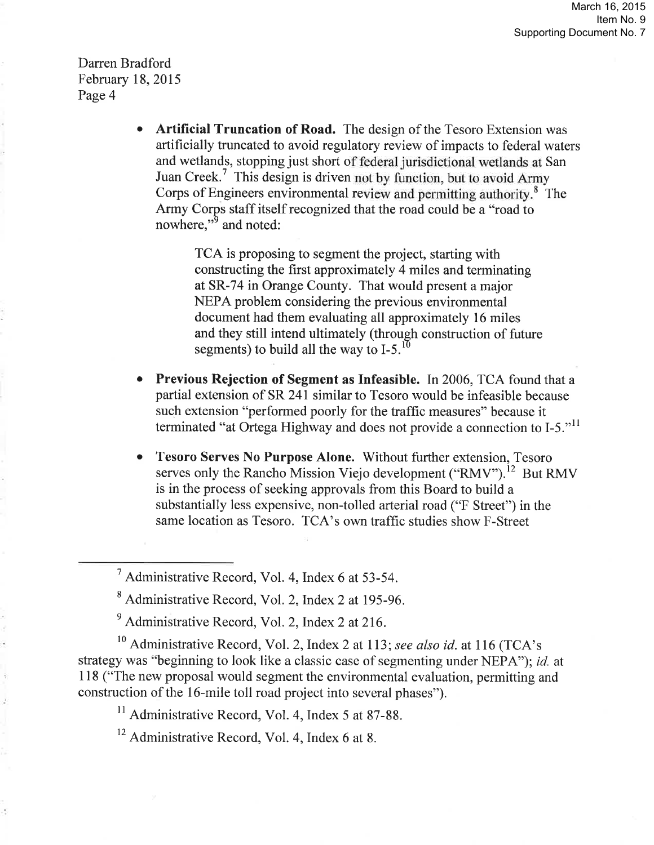> o Artificial Truncation of Road. The design of the Tesoro Extension was artificially truncated to avoid regulatory review of impacts to federal waters and wetlands, stopping just short of federal jurisdictional wetlands at San Juan Creek.<sup>7</sup> This design is driven not by function, but to avoid Army Corps of Engineers environmental review and permitting authority.<sup>8</sup> The Army Corps staff itself recognized that the road could be a "road to nowhere,"<sup>9</sup> and noted:

> > TCA is proposing to segment the project, starting with constructing the first approximately 4 miles and terminating at SR-74 in Orange County. That would present a major NEPA problem considering the previous environmental document had them evaluating all approximately 16 miles and they still intend ultimately (through construction of future segments) to build all the way to  $I-5$ .<sup>10</sup>

- o Previous Rejection of Segment as Infeasible. In 2006, TCA found that a partial extension of SR 241 similar to Tesoro would be infeasible because such extension "performed poorly for the traffic measures" because it terminated "at Ortega Highway and does not provide a connection to I-5."<sup>11</sup>
- o Tesoro Serves No Purpose Alone. Without further extension, Tesoro serves only the Rancho Mission Viejo development ("RMV").<sup>12</sup> But RMV is in the process of seeking approvals from this Board to build a substantially less expensive, non-tolled arterial road ("F Street") in the same location as Tesoro. TCA's own traffic studies show F-Street

 $10$  Administrative Record, Vol. 2, Index 2 at 113; see also id. at 116 (TCA's strategy was "beginning to look like a classic case of segmenting under NEPA"); *id.* at 118 ("The new proposal would segment the environmental evaluation, permitting and construction of the 16-mile toll road project into several phases").

 $11$  Administrative Record, Vol. 4, Index 5 at 87-88.

 $12$  Administrative Record, Vol. 4, Index 6 at 8.

<sup>7</sup>Administrative Record, Vol. 4, Index 6 at 53-54.

<sup>&</sup>lt;sup>8</sup> Administrative Record, Vol. 2, Index 2 at 195-96.

 $<sup>9</sup>$  Administrative Record, Vol. 2, Index 2 at 216.</sup>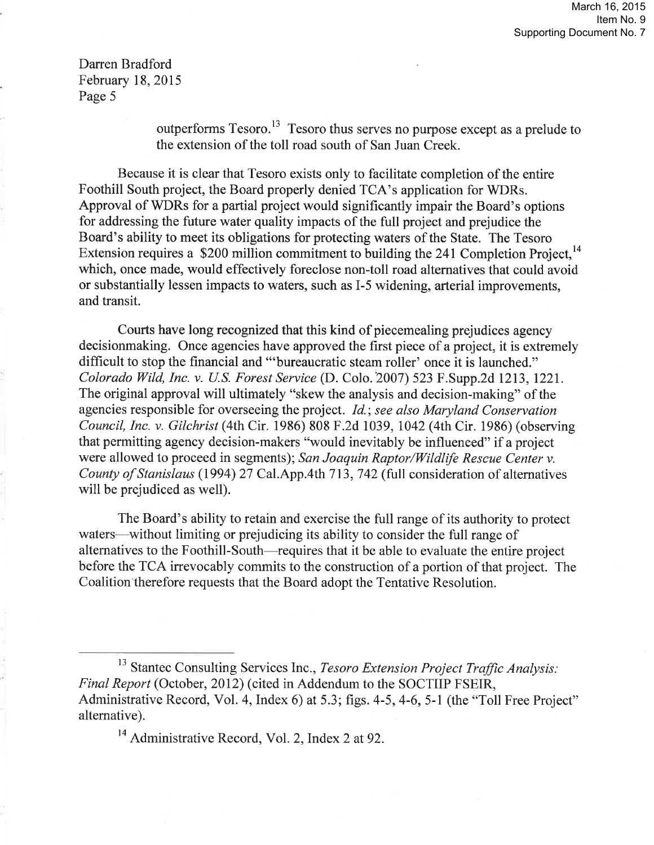> outperforms Tesoro.<sup>13</sup> Tesoro thus serves no purpose except as a prelude to the extension of the toll road south of San Juan Creek.

Because it is clear that Tesoro exists only to facilitate completion of the entire Foothill South project, the Board properly denied TCA's application for WDRs. Approval of WDRs for a partial project would significantly impair the Board's options for addressing the future water quality impacts of the full project and prejudice the Board's ability to meet its obligations for protecting waters of the State. The Tesoro Extension requires a \$200 million commitment to building the 241 Completion Project.<sup>14</sup> which, once made, would effectively foreclose non-toll road alternatives that could avoid or substantially lessen impacts to waters, such as I-5 widening, arterial improvements, and transit.

Courts have long recognized that this kind of piecemealing prejudices agency decisionmaking. Once agencies have approved the first piece of a project, it is extremely difficult to stop the financial and "'bureaucratic steam roller' once it is launched." Colorado Wild, Inc. v. U.S. Forest Service (D. Colo.'2007) 523 F.Supp.2d 1213, 1221. The originâl approval will ultimately "skew the analysis and decision-making" of the agencies responsible for overseeing the project. *Id.; see also Maryland Conservation* Council, Inc. v. Gilchríst (4th Cir. 1986) 808 F.2d 1039, 1042 (4thCir. 1986) (observing that permitting agency decision-makers "would inevitably be influeneed" if a project were allowed to proceed in segments); San Joaquin Raptor/Wildlife Rescue Center v. County of Stanislaus (1994) 27 Cal.App.4th 713, 742 (full consideration of alternatives will be prejudiced as well).

The Board's ability to retain and exercise the full range of its authority to protect waters—without limiting or prejudicing its ability to consider the full range of alternatives to the Foothill-South-requires that it be able to evaluate the entire project before the TCA irrevocably commits to the construction of a portion of that project. The Coalition'therefore requests that the Board adopt the Tentative Resolution.

<sup>13</sup> Stantec Consulting Services Inc., Tesoro Extension Project Traffic Analysis: Final Report (October, 2012) (cited in Addendum to the SOCTIIP FSEIR, Administrative Record, Vol. 4, Index 6) at 5.3; figs. 4-5, 4-6, 5-1 (the "Toll Free Project" altemative).

 $14$  Administrative Record, Vol. 2, Index 2 at 92.